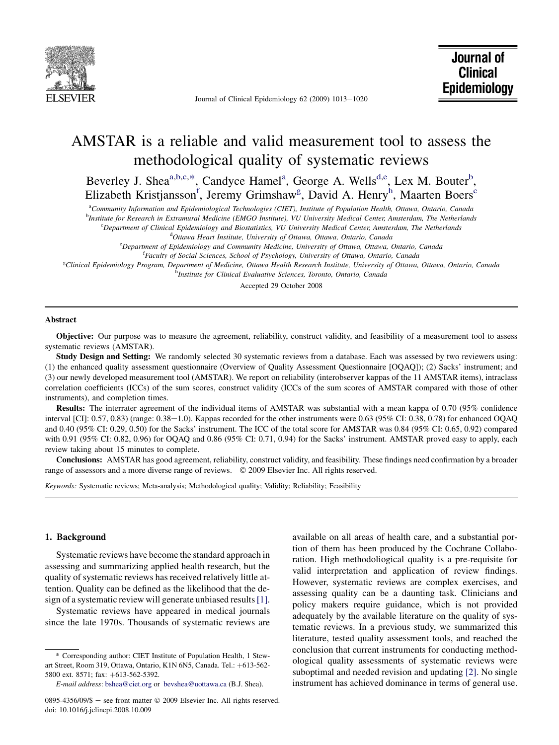

Journal of Clinical Epidemiology 62 (2009) 1013-1020

# AMSTAR is a reliable and valid measurement tool to assess the methodological quality of systematic reviews

Beverley J. Shea<sup>a,b,c,\*</sup>, Candyce Hamel<sup>a</sup>, George A. Wells<sup>d,e</sup>, Lex M. Bouter<sup>b</sup>, Elizabeth Kristjansson<sup>f</sup>, Jeremy Grimshaw<sup>g</sup>, David A. Henry<sup>h</sup>, Maarten Boers<sup>c</sup>

a Community Information and Epidemiological Technologies (CIET), Institute of Population Health, Ottawa, Ontario, Canada

b Institute for Research in Extramural Medicine (EMGO Institute), VU University Medical Center, Amsterdam, The Netherlands

c Department of Clinical Epidemiology and Biostatistics, VU University Medical Center, Amsterdam, The Netherlands

<sup>d</sup>Ottawa Heart Institute, University of Ottawa, Ottawa, Ontario, Canada

<sup>e</sup>Department of Epidemiology and Community Medicine, University of Ottawa, Ottawa, Ontario, Canada

<sup>f</sup>Faculty of Social Sciences, School of Psychology, University of Ottawa, Ontario, Canada

e<br>Clinical Epidemiology Program, Department of Medicine, Ottawa Health Research Institute, University of Ottawa, Ottawa, Ontario, Canada

<sup>h</sup>Institute for Clinical Evaluative Sciences, Toronto, Ontario, Canada

Accepted 29 October 2008

#### Abstract

Objective: Our purpose was to measure the agreement, reliability, construct validity, and feasibility of a measurement tool to assess systematic reviews (AMSTAR).

Study Design and Setting: We randomly selected 30 systematic reviews from a database. Each was assessed by two reviewers using: (1) the enhanced quality assessment questionnaire (Overview of Quality Assessment Questionnaire [OQAQ]); (2) Sacks' instrument; and (3) our newly developed measurement tool (AMSTAR). We report on reliability (interobserver kappas of the 11 AMSTAR items), intraclass correlation coefficients (ICCs) of the sum scores, construct validity (ICCs of the sum scores of AMSTAR compared with those of other instruments), and completion times.

Results: The interrater agreement of the individual items of AMSTAR was substantial with a mean kappa of 0.70 (95% confidence interval [CI]: 0.57, 0.83) (range: 0.38–1.0). Kappas recorded for the other instruments were 0.63 (95% CI: 0.38, 0.78) for enhanced OQAQ and 0.40 (95% CI: 0.29, 0.50) for the Sacks' instrument. The ICC of the total score for AMSTAR was 0.84 (95% CI: 0.65, 0.92) compared with 0.91 (95% CI: 0.82, 0.96) for OQAQ and 0.86 (95% CI: 0.71, 0.94) for the Sacks' instrument. AMSTAR proved easy to apply, each review taking about 15 minutes to complete.

Conclusions: AMSTAR has good agreement, reliability, construct validity, and feasibility. These findings need confirmation by a broader range of assessors and a more diverse range of reviews.  $\circ$  2009 Elsevier Inc. All rights reserved.

Keywords: Systematic reviews; Meta-analysis; Methodological quality; Validity; Reliability; Feasibility

## 1. Background

Systematic reviews have become the standard approach in assessing and summarizing applied health research, but the quality of systematic reviews has received relatively little attention. Quality can be defined as the likelihood that the design of a systematic review will generate unbiased results[\[1\]](#page-5-0).

Systematic reviews have appeared in medical journals since the late 1970s. Thousands of systematic reviews are

available on all areas of health care, and a substantial portion of them has been produced by the Cochrane Collaboration. High methodoliogical quality is a pre-requisite for valid interpretation and application of review findings. However, systematic reviews are complex exercises, and assessing quality can be a daunting task. Clinicians and policy makers require guidance, which is not provided adequately by the available literature on the quality of systematic reviews. In a previous study, we summarized this literature, tested quality assessment tools, and reached the conclusion that current instruments for conducting methodological quality assessments of systematic reviews were suboptimal and needed revision and updating [\[2\]](#page-5-0). No single instrument has achieved dominance in terms of general use.

<sup>\*</sup> Corresponding author: CIET Institute of Population Health, 1 Stewart Street, Room 319, Ottawa, Ontario, K1N 6N5, Canada. Tel.: +613-562-5800 ext. 8571; fax: +613-562-5392.

E-mail address: [bshea@ciet.org](mailto:bshea@ciet.org) or [bevshea@uottawa.ca](mailto:bevshea@uottawa.ca) (B.J. Shea).

<sup>0895-4356/09/\$ -</sup> see front matter © 2009 Elsevier Inc. All rights reserved. doi: 10.1016/j.jclinepi.2008.10.009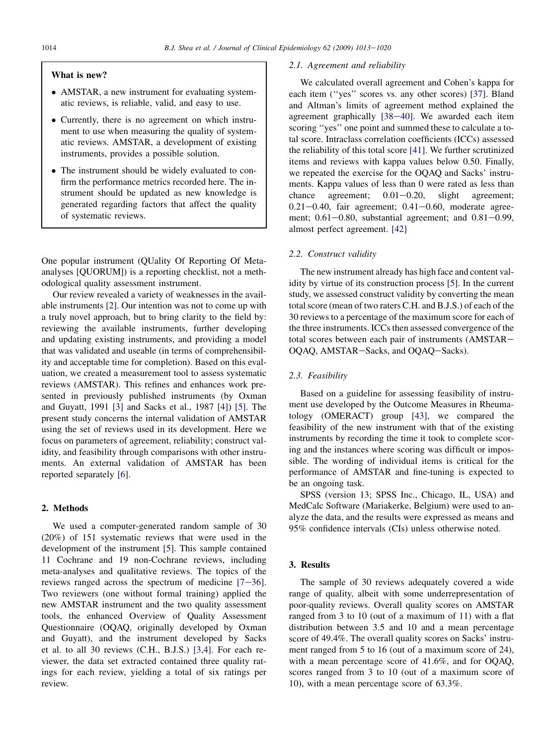## What is new?

- AMSTAR, a new instrument for evaluating systematic reviews, is reliable, valid, and easy to use.
- Currently, there is no agreement on which instrument to use when measuring the quality of systematic reviews. AMSTAR, a development of existing instruments, provides a possible solution.
- The instrument should be widely evaluated to confirm the performance metrics recorded here. The instrument should be updated as new knowledge is generated regarding factors that affect the quality of systematic reviews.

One popular instrument (QUality Of Reporting Of Metaanalyses [QUORUM]) is a reporting checklist, not a methodological quality assessment instrument.

Our review revealed a variety of weaknesses in the available instruments [\[2\]](#page-5-0). Our intention was not to come up with a truly novel approach, but to bring clarity to the field by: reviewing the available instruments, further developing and updating existing instruments, and providing a model that was validated and useable (in terms of comprehensibility and acceptable time for completion). Based on this evaluation, we created a measurement tool to assess systematic reviews (AMSTAR). This refines and enhances work presented in previously published instruments (by Oxman and Guyatt, 1991 [\[3\]](#page-6-0) and Sacks et al., 1987 [\[4\]\)](#page-6-0) [\[5\]](#page-6-0). The present study concerns the internal validation of AMSTAR using the set of reviews used in its development. Here we focus on parameters of agreement, reliability; construct validity, and feasibility through comparisons with other instruments. An external validation of AMSTAR has been reported separately [\[6\]](#page-6-0).

## 2. Methods

We used a computer-generated random sample of 30 (20%) of 151 systematic reviews that were used in the development of the instrument [\[5\].](#page-6-0) This sample contained 11 Cochrane and 19 non-Cochrane reviews, including meta-analyses and qualitative reviews. The topics of the reviews ranged across the spectrum of medicine  $[7-36]$ . Two reviewers (one without formal training) applied the new AMSTAR instrument and the two quality assessment tools, the enhanced Overview of Quality Assessment Questionnaire (OQAQ, originally developed by Oxman and Guyatt), and the instrument developed by Sacks et al. to all 30 reviews (C.H., B.J.S.) [\[3,4\].](#page-6-0) For each reviewer, the data set extracted contained three quality ratings for each review, yielding a total of six ratings per review.

## 2.1. Agreement and reliability

We calculated overall agreement and Cohen's kappa for each item ("yes" scores vs. any other scores) [\[37\]](#page-6-0). Bland and Altman's limits of agreement method explained the agreement graphically  $[38-40]$ . We awarded each item scoring ''yes'' one point and summed these to calculate a total score. Intraclass correlation coefficients (ICCs) assessed the reliability of this total score [\[41\].](#page-6-0) We further scrutinized items and reviews with kappa values below 0.50. Finally, we repeated the exercise for the OQAQ and Sacks' instruments. Kappa values of less than 0 were rated as less than chance agreement;  $0.01 - 0.20$ , slight agreement;  $0.21-0.40$ , fair agreement;  $0.41-0.60$ , moderate agreement;  $0.61-0.80$ , substantial agreement; and  $0.81-0.99$ , almost perfect agreement. [\[42\]](#page-6-0)

## 2.2. Construct validity

The new instrument already has high face and content validity by virtue of its construction process [\[5\].](#page-6-0) In the current study, we assessed construct validity by converting the mean total score (mean of two raters C.H. and B.J.S.) of each of the 30 reviews to a percentage of the maximum score for each of the three instruments. ICCs then assessed convergence of the total scores between each pair of instruments (AMSTAR-OQAQ, AMSTAR-Sacks, and OQAQ-Sacks).

## 2.3. Feasibility

Based on a guideline for assessing feasibility of instrument use developed by the Outcome Measures in Rheumatology (OMERACT) group [\[43\]](#page-6-0), we compared the feasibility of the new instrument with that of the existing instruments by recording the time it took to complete scoring and the instances where scoring was difficult or impossible. The wording of individual items is critical for the performance of AMSTAR and fine-tuning is expected to be an ongoing task.

SPSS (version 13; SPSS Inc., Chicago, IL, USA) and MedCalc Software (Mariakerke, Belgium) were used to analyze the data, and the results were expressed as means and 95% confidence intervals (CIs) unless otherwise noted.

## 3. Results

The sample of 30 reviews adequately covered a wide range of quality, albeit with some underrepresentation of poor-quality reviews. Overall quality scores on AMSTAR ranged from 3 to 10 (out of a maximum of 11) with a flat distribution between 3.5 and 10 and a mean percentage score of 49.4%. The overall quality scores on Sacks' instrument ranged from 5 to 16 (out of a maximum score of 24), with a mean percentage score of 41.6%, and for OQAQ, scores ranged from 3 to 10 (out of a maximum score of 10), with a mean percentage score of 63.3%.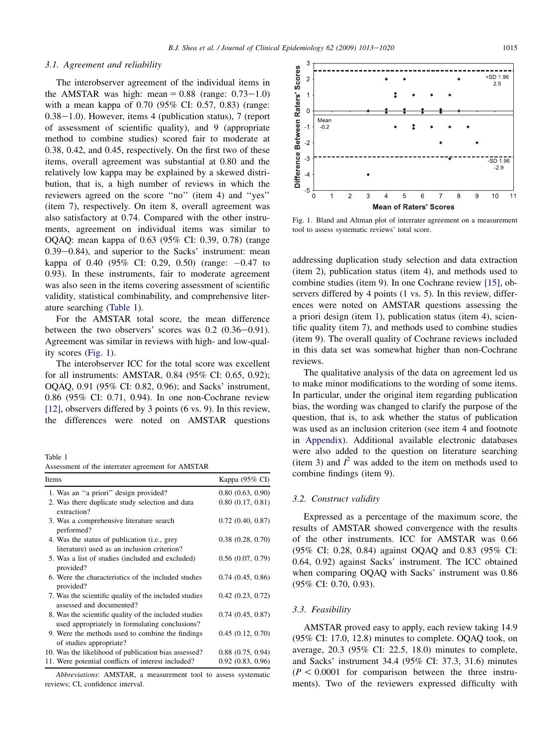#### 3.1. Agreement and reliability

The interobserver agreement of the individual items in the AMSTAR was high: mean  $= 0.88$  (range: 0.73–1.0) with a mean kappa of 0.70 (95% CI: 0.57, 0.83) (range:  $0.38-1.0$ ). However, items 4 (publication status), 7 (report of assessment of scientific quality), and 9 (appropriate method to combine studies) scored fair to moderate at 0.38, 0.42, and 0.45, respectively. On the first two of these items, overall agreement was substantial at 0.80 and the relatively low kappa may be explained by a skewed distribution, that is, a high number of reviews in which the reviewers agreed on the score "no" (item 4) and "yes" (item 7), respectively. On item 8, overall agreement was also satisfactory at 0.74. Compared with the other instruments, agreement on individual items was similar to OQAQ: mean kappa of 0.63 (95% CI: 0.39, 0.78) (range  $0.39-0.84$ ), and superior to the Sacks' instrument: mean kappa of 0.40 (95% CI: 0.29, 0.50) (range:  $-0.47$  to 0.93). In these instruments, fair to moderate agreement was also seen in the items covering assessment of scientific validity, statistical combinability, and comprehensive literature searching (Table 1).

For the AMSTAR total score, the mean difference between the two observers' scores was  $0.2$   $(0.36-0.91)$ . Agreement was similar in reviews with high- and low-quality scores (Fig. 1).

The interobserver ICC for the total score was excellent for all instruments: AMSTAR, 0.84 (95% CI: 0.65, 0.92); OQAQ, 0.91 (95% CI: 0.82, 0.96); and Sacks' instrument, 0.86 (95% CI: 0.71, 0.94). In one non-Cochrane review [\[12\]](#page-6-0), observers differed by 3 points (6 vs. 9). In this review, the differences were noted on AMSTAR questions

Table 1

Assessment of the interrater agreement for AMSTAR

| Items                                                                                                   | Kappa $(95\% \text{ CI})$ |
|---------------------------------------------------------------------------------------------------------|---------------------------|
| 1. Was an "a priori" design provided?                                                                   | 0.80(0.63, 0.90)          |
| 2. Was there duplicate study selection and data<br>extraction?                                          | 0.80(0.17, 0.81)          |
| 3. Was a comprehensive literature search<br>performed?                                                  | 0.72(0.40, 0.87)          |
| 4. Was the status of publication (i.e., grey<br>literature) used as an inclusion criterion?             | 0.38(0.28, 0.70)          |
| 5. Was a list of studies (included and excluded)<br>provided?                                           | 0.56(0.07, 0.79)          |
| 6. Were the characteristics of the included studies<br>provided?                                        | 0.74(0.45, 0.86)          |
| 7. Was the scientific quality of the included studies<br>assessed and documented?                       | 0.42(0.23, 0.72)          |
| 8. Was the scientific quality of the included studies<br>used appropriately in formulating conclusions? | 0.74(0.45, 0.87)          |
| 9. Were the methods used to combine the findings<br>of studies appropriate?                             | 0.45(0.12, 0.70)          |
| 10. Was the likelihood of publication bias assessed?                                                    | 0.88(0.75, 0.94)          |
| 11. Were potential conflicts of interest included?                                                      | 0.92(0.83, 0.96)          |

Abbreviations: AMSTAR, a measurement tool to assess systematic reviews; CI, confidence interval.



Fig. 1. Bland and Altman plot of interrater agreement on a measurement tool to assess systematic reviews' total score.

addressing duplication study selection and data extraction (item 2), publication status (item 4), and methods used to combine studies (item 9). In one Cochrane review [\[15\]](#page-6-0), observers differed by 4 points (1 vs. 5). In this review, differences were noted on AMSTAR questions assessing the a priori design (item 1), publication status (item 4), scientific quality (item 7), and methods used to combine studies (item 9). The overall quality of Cochrane reviews included in this data set was somewhat higher than non-Cochrane reviews.

The qualitative analysis of the data on agreement led us to make minor modifications to the wording of some items. In particular, under the original item regarding publication bias, the wording was changed to clarify the purpose of the question, that is, to ask whether the status of publication was used as an inclusion criterion (see item 4 and footnote in Appendix). Additional available electronic databases were also added to the question on literature searching (item 3) and  $I^2$  was added to the item on methods used to combine findings (item 9).

#### 3.2. Construct validity

Expressed as a percentage of the maximum score, the results of AMSTAR showed convergence with the results of the other instruments. ICC for AMSTAR was 0.66 (95% CI: 0.28, 0.84) against OQAQ and 0.83 (95% CI: 0.64, 0.92) against Sacks' instrument. The ICC obtained when comparing OQAQ with Sacks' instrument was 0.86 (95% CI: 0.70, 0.93).

## 3.3. Feasibility

AMSTAR proved easy to apply, each review taking 14.9 (95% CI: 17.0, 12.8) minutes to complete. OQAQ took, on average, 20.3 (95% CI: 22.5, 18.0) minutes to complete, and Sacks' instrument 34.4 (95% CI: 37.3, 31.6) minutes  $(P < 0.0001$  for comparison between the three instruments). Two of the reviewers expressed difficulty with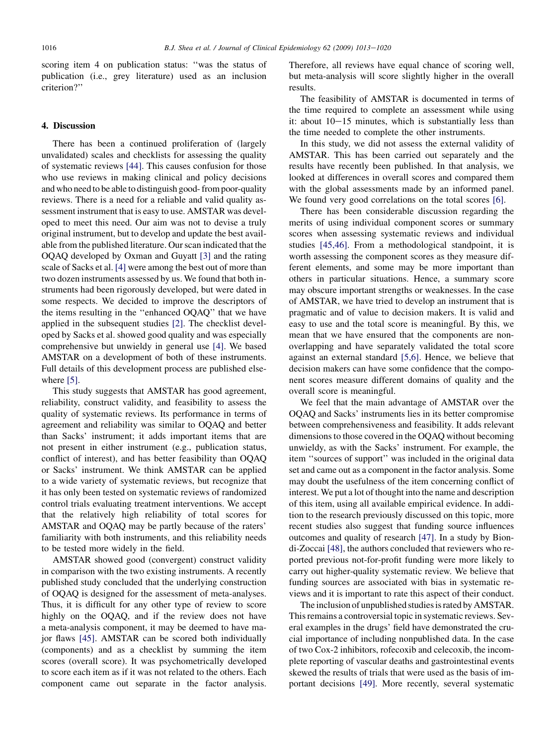scoring item 4 on publication status: ''was the status of publication (i.e., grey literature) used as an inclusion criterion?''

#### 4. Discussion

There has been a continued proliferation of (largely unvalidated) scales and checklists for assessing the quality of systematic reviews [\[44\].](#page-6-0) This causes confusion for those who use reviews in making clinical and policy decisions and who need to be able to distinguish good- from poor-quality reviews. There is a need for a reliable and valid quality assessment instrument that is easy to use. AMSTAR was developed to meet this need. Our aim was not to devise a truly original instrument, but to develop and update the best available from the published literature. Our scan indicated that the OQAQ developed by Oxman and Guyatt [\[3\]](#page-6-0) and the rating scale of Sacks et al. [\[4\]](#page-6-0) were among the best out of more than two dozen instruments assessed by us. We found that both instruments had been rigorously developed, but were dated in some respects. We decided to improve the descriptors of the items resulting in the ''enhanced OQAQ'' that we have applied in the subsequent studies [\[2\].](#page-5-0) The checklist developed by Sacks et al. showed good quality and was especially comprehensive but unwieldy in general use [\[4\].](#page-6-0) We based AMSTAR on a development of both of these instruments. Full details of this development process are published else-where [\[5\].](#page-6-0)

This study suggests that AMSTAR has good agreement, reliability, construct validity, and feasibility to assess the quality of systematic reviews. Its performance in terms of agreement and reliability was similar to OQAQ and better than Sacks' instrument; it adds important items that are not present in either instrument (e.g., publication status, conflict of interest), and has better feasibility than OQAQ or Sacks' instrument. We think AMSTAR can be applied to a wide variety of systematic reviews, but recognize that it has only been tested on systematic reviews of randomized control trials evaluating treatment interventions. We accept that the relatively high reliability of total scores for AMSTAR and OQAQ may be partly because of the raters' familiarity with both instruments, and this reliability needs to be tested more widely in the field.

AMSTAR showed good (convergent) construct validity in comparison with the two existing instruments. A recently published study concluded that the underlying construction of OQAQ is designed for the assessment of meta-analyses. Thus, it is difficult for any other type of review to score highly on the OQAQ, and if the review does not have a meta-analysis component, it may be deemed to have major flaws [\[45\].](#page-6-0) AMSTAR can be scored both individually (components) and as a checklist by summing the item scores (overall score). It was psychometrically developed to score each item as if it was not related to the others. Each component came out separate in the factor analysis.

Therefore, all reviews have equal chance of scoring well, but meta-analysis will score slightly higher in the overall results.

The feasibility of AMSTAR is documented in terms of the time required to complete an assessment while using it: about  $10-15$  minutes, which is substantially less than the time needed to complete the other instruments.

In this study, we did not assess the external validity of AMSTAR. This has been carried out separately and the results have recently been published. In that analysis, we looked at differences in overall scores and compared them with the global assessments made by an informed panel. We found very good correlations on the total scores [\[6\]](#page-6-0).

There has been considerable discussion regarding the merits of using individual component scores or summary scores when assessing systematic reviews and individual studies [\[45,46\].](#page-6-0) From a methodological standpoint, it is worth assessing the component scores as they measure different elements, and some may be more important than others in particular situations. Hence, a summary score may obscure important strengths or weaknesses. In the case of AMSTAR, we have tried to develop an instrument that is pragmatic and of value to decision makers. It is valid and easy to use and the total score is meaningful. By this, we mean that we have ensured that the components are nonoverlapping and have separately validated the total score against an external standard [\[5,6\]](#page-6-0). Hence, we believe that decision makers can have some confidence that the component scores measure different domains of quality and the overall score is meaningful.

We feel that the main advantage of AMSTAR over the OQAQ and Sacks' instruments lies in its better compromise between comprehensiveness and feasibility. It adds relevant dimensions to those covered in the OQAQ without becoming unwieldy, as with the Sacks' instrument. For example, the item ''sources of support'' was included in the original data set and came out as a component in the factor analysis. Some may doubt the usefulness of the item concerning conflict of interest. We put a lot of thought into the name and description of this item, using all available empirical evidence. In addition to the research previously discussed on this topic, more recent studies also suggest that funding source influences outcomes and quality of research [\[47\]](#page-6-0). In a study by Biondi-Zoccai [\[48\]](#page-6-0), the authors concluded that reviewers who reported previous not-for-profit funding were more likely to carry out higher-quality systematic review. We believe that funding sources are associated with bias in systematic reviews and it is important to rate this aspect of their conduct.

The inclusion of unpublished studies is rated by AMSTAR. This remains a controversial topic in systematic reviews. Several examples in the drugs' field have demonstrated the crucial importance of including nonpublished data. In the case of two Cox-2 inhibitors, rofecoxib and celecoxib, the incomplete reporting of vascular deaths and gastrointestinal events skewed the results of trials that were used as the basis of important decisions [\[49\].](#page-6-0) More recently, several systematic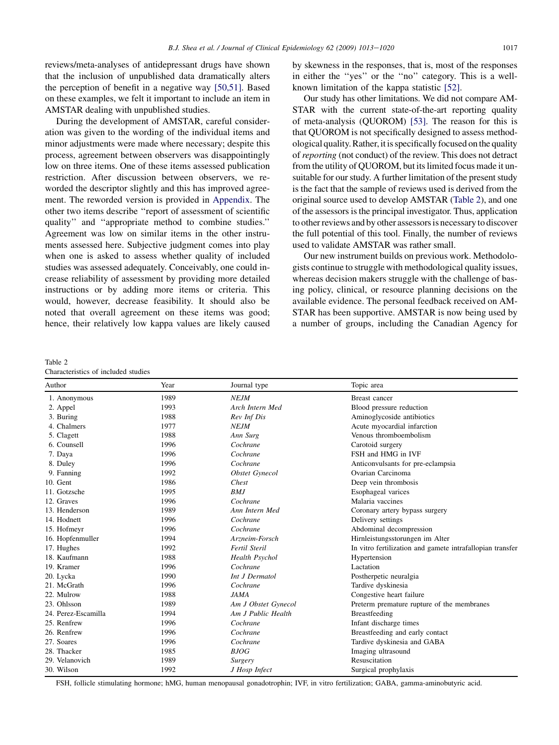reviews/meta-analyses of antidepressant drugs have shown that the inclusion of unpublished data dramatically alters the perception of benefit in a negative way [\[50,51\].](#page-6-0) Based on these examples, we felt it important to include an item in AMSTAR dealing with unpublished studies.

During the development of AMSTAR, careful consideration was given to the wording of the individual items and minor adjustments were made where necessary; despite this process, agreement between observers was disappointingly low on three items. One of these items assessed publication restriction. After discussion between observers, we reworded the descriptor slightly and this has improved agreement. The reworded version is provided in Appendix. The other two items describe ''report of assessment of scientific quality'' and ''appropriate method to combine studies.'' Agreement was low on similar items in the other instruments assessed here. Subjective judgment comes into play when one is asked to assess whether quality of included studies was assessed adequately. Conceivably, one could increase reliability of assessment by providing more detailed instructions or by adding more items or criteria. This would, however, decrease feasibility. It should also be noted that overall agreement on these items was good; hence, their relatively low kappa values are likely caused

by skewness in the responses, that is, most of the responses in either the ''yes'' or the ''no'' category. This is a wellknown limitation of the kappa statistic [\[52\].](#page-6-0)

Our study has other limitations. We did not compare AM-STAR with the current state-of-the-art reporting quality of meta-analysis (QUOROM) [\[53\]](#page-7-0). The reason for this is that QUOROM is not specifically designed to assess methodological quality. Rather, it is specifically focused on the quality of reporting (not conduct) of the review. This does not detract from the utility of QUOROM, but its limited focus made it unsuitable for our study. A further limitation of the present study is the fact that the sample of reviews used is derived from the original source used to develop AMSTAR (Table 2), and one of the assessors is the principal investigator. Thus, application to other reviews and by other assessors is necessary to discover the full potential of this tool. Finally, the number of reviews used to validate AMSTAR was rather small.

Our new instrument builds on previous work. Methodologists continue to struggle with methodological quality issues, whereas decision makers struggle with the challenge of basing policy, clinical, or resource planning decisions on the available evidence. The personal feedback received on AM-STAR has been supportive. AMSTAR is now being used by a number of groups, including the Canadian Agency for

Table 2 Characteristics of included studies

| Author              | Year | Journal type          | Topic area                                                |
|---------------------|------|-----------------------|-----------------------------------------------------------|
| 1. Anonymous        | 1989 | <b>NEJM</b>           | Breast cancer                                             |
| 2. Appel            | 1993 | Arch Intern Med       | Blood pressure reduction                                  |
| 3. Buring           | 1988 | Rev Inf Dis           | Aminoglycoside antibiotics                                |
| 4. Chalmers         | 1977 | <b>NEJM</b>           | Acute myocardial infarction                               |
| 5. Clagett          | 1988 | Ann Surg              | Venous thromboembolism                                    |
| 6. Counsell         | 1996 | Cochrane              | Carotoid surgery                                          |
| 7. Daya             | 1996 | Cochrane              | FSH and HMG in IVF                                        |
| 8. Duley            | 1996 | Cochrane              | Anticonvulsants for pre-eclampsia                         |
| 9. Fanning          | 1992 | <b>Obstet Gynecol</b> | Ovarian Carcinoma                                         |
| 10. Gent            | 1986 | Chest                 | Deep vein thrombosis                                      |
| 11. Gotzsche        | 1995 | <b>BMJ</b>            | Esophageal varices                                        |
| 12. Graves          | 1996 | Cochrane              | Malaria vaccines                                          |
| 13. Henderson       | 1989 | Ann Intern Med        | Coronary artery bypass surgery                            |
| 14. Hodnett         | 1996 | Cochrane              | Delivery settings                                         |
| 15. Hofmeyr         | 1996 | Cochrane              | Abdominal decompression                                   |
| 16. Hopfenmuller    | 1994 | Arzneim-Forsch        | Hirnleistungsstorungen im Alter                           |
| 17. Hughes          | 1992 | Fertil Steril         | In vitro fertilization and gamete intrafallopian transfer |
| 18. Kaufmann        | 1988 | <b>Health Psychol</b> | Hypertension                                              |
| 19. Kramer          | 1996 | Cochrane              | Lactation                                                 |
| 20. Lycka           | 1990 | Int J Dermatol        | Postherpetic neuralgia                                    |
| 21. McGrath         | 1996 | Cochrane              | Tardive dyskinesia                                        |
| 22. Mulrow          | 1988 | JAMA                  | Congestive heart failure                                  |
| 23. Ohlsson         | 1989 | Am J Obstet Gynecol   | Preterm premature rupture of the membranes                |
| 24. Perez-Escamilla | 1994 | Am J Public Health    | Breastfeeding                                             |
| 25. Renfrew         | 1996 | Cochrane              | Infant discharge times                                    |
| 26. Renfrew         | 1996 | Cochrane              | Breastfeeding and early contact                           |
| 27. Soares          | 1996 | Cochrane              | Tardive dyskinesia and GABA                               |
| 28. Thacker         | 1985 | <b>BJOG</b>           | Imaging ultrasound                                        |
| 29. Velanovich      | 1989 | <i>Surgery</i>        | Resuscitation                                             |
| 30. Wilson          | 1992 | J Hosp Infect         | Surgical prophylaxis                                      |

FSH, follicle stimulating hormone; hMG, human menopausal gonadotrophin; IVF, in vitro fertilization; GABA, gamma-aminobutyric acid.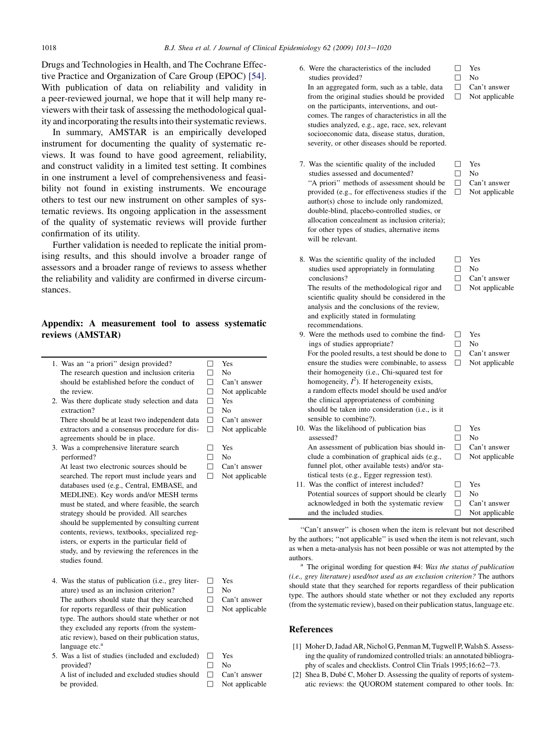<span id="page-5-0"></span>Drugs and Technologies in Health, and The Cochrane Effective Practice and Organization of Care Group (EPOC) [\[54\].](#page-7-0) With publication of data on reliability and validity in a peer-reviewed journal, we hope that it will help many reviewers with their task of assessing the methodological quality and incorporating the results into their systematic reviews.

In summary, AMSTAR is an empirically developed instrument for documenting the quality of systematic reviews. It was found to have good agreement, reliability, and construct validity in a limited test setting. It combines in one instrument a level of comprehensiveness and feasibility not found in existing instruments. We encourage others to test our new instrument on other samples of systematic reviews. Its ongoing application in the assessment of the quality of systematic reviews will provide further confirmation of its utility.

Further validation is needed to replicate the initial promising results, and this should involve a broader range of assessors and a broader range of reviews to assess whether the reliability and validity are confirmed in diverse circumstances.

## Appendix: A measurement tool to assess systematic reviews (AMSTAR)

| 1. Was an "a priori" design provided?                                          | П            | Yes            |
|--------------------------------------------------------------------------------|--------------|----------------|
| The research question and inclusion criteria                                   | п            | No             |
| should be established before the conduct of                                    | П            | Can't answer   |
| the review.                                                                    | П            | Not applicable |
| 2. Was there duplicate study selection and data                                | П            | Yes            |
| extraction?                                                                    | п            | N <sub>0</sub> |
| There should be at least two independent data                                  | □            | Can't answer   |
| extractors and a consensus procedure for dis-                                  | п            | Not applicable |
| agreements should be in place.                                                 |              |                |
| 3. Was a comprehensive literature search                                       |              | Yes            |
| performed?                                                                     | П            | N <sub>0</sub> |
| At least two electronic sources should be                                      | П.           | Can't answer   |
| searched. The report must include years and                                    | п            | Not applicable |
| databases used (e.g., Central, EMBASE, and                                     |              |                |
| MEDLINE). Key words and/or MESH terms                                          |              |                |
| must be stated, and where feasible, the search                                 |              |                |
| strategy should be provided. All searches                                      |              |                |
| should be supplemented by consulting current                                   |              |                |
| contents, reviews, textbooks, specialized reg-                                 |              |                |
| isters, or experts in the particular field of                                  |              |                |
| study, and by reviewing the references in the                                  |              |                |
| studies found.                                                                 |              |                |
|                                                                                |              |                |
| 4. Was the status of publication ( <i>i.e.</i> , grey liter-                   | $\mathsf{L}$ | Yes            |
| ature) used as an inclusion criterion?                                         | п            | N <sub>0</sub> |
| The authors should state that they searched                                    | ٦            | Can't answer   |
| for reports regardless of their publication                                    | П            | Not applicable |
| type. The authors should state whether or not                                  |              |                |
| they excluded any reports (from the system-                                    |              |                |
|                                                                                |              |                |
| atic review), based on their publication status,<br>language etc. <sup>a</sup> |              |                |
|                                                                                |              | Yes            |
| 5. Was a list of studies (included and excluded)                               |              |                |

 $\hfill\Box$  No  $\Box$  Can't answer  $\Box$  Not applicable

5. Was a list of studies (included and excluded) provided? A list of included and excluded studies should be provided.

conclusions? recommendations. assessed? and the included studies.

# References

- [1] Moher D, Jadad AR, Nichol G, Penman M, Tugwell P, Walsh S. Assessing the quality of randomized controlled trials: an annotated bibliography of scales and checklists. Control Clin Trials 1995;16:62-73.
- [2] Shea B, Dubé C, Moher D. Assessing the quality of reports of systematic reviews: the QUOROM statement compared to other tools. In:

6. Were the characteristics of the included studies provided? In an aggregated form, such as a table, data from the original studies should be provided on the participants, interventions, and outcomes. The ranges of characteristics in all the studies analyzed, e.g., age, race, sex, relevant socioeconomic data, disease status, duration, severity, or other diseases should be reported. , Yes  $\Box$  No  $\Box$  Can't answer  $\Box$  Not applicable 7. Was the scientific quality of the included  $\square$  Yes  $\Box$  No  $\Box$  Can't answer

 $\Box$  Not applicable

 $\Box$  Not applicable

□ Yes  $\Box$  No  $\Box$  Can't answer  $\Box$  Not applicable

- studies assessed and documented? ''A priori'' methods of assessment should be provided (e.g., for effectiveness studies if the author(s) chose to include only randomized, double-blind, placebo-controlled studies, or allocation concealment as inclusion criteria); for other types of studies, alternative items will be relevant.
- 8. Was the scientific quality of the included studies used appropriately in formulating The results of the methodological rigor and scientific quality should be considered in the

analysis and the conclusions of the review, and explicitly stated in formulating

9. Were the methods used to combine the findings of studies appropriate? For the pooled results, a test should be done to ensure the studies were combinable, to assess their homogeneity (i.e., Chi-squared test for homogeneity,  $I^2$ ). If heterogeneity exists, a random effects model should be used and/or the clinical appropriateness of combining should be taken into consideration (i.e., is it sensible to combine?).  $\square$  Yes  $\Box$  No  $\Box$  Can't answer  $\Box$  Not applicable 10. Was the likelihood of publication bias An assessment of publication bias should include a combination of graphical aids (e.g., funnel plot, other available tests) and/or statistical tests (e.g., Egger regression test).  $\Box$  Yes  $\Box$  No  $\Box$  Can't answer  $\Box$  Not applicable 11. Was the conflict of interest included? Potential sources of support should be clearly acknowledged in both the systematic review  $\Box$  Yes  $\Box$  No  $\Box$  Can't answer

"Can't answer" is chosen when the item is relevant but not described by the authors; ''not applicable'' is used when the item is not relevant, such as when a meta-analysis has not been possible or was not attempted by the authors. <sup>a</sup> The original wording for question #4: Was the status of publication

(i.e., grey literature) used/not used as an exclusion criterion? The authors should state that they searched for reports regardless of their publication type. The authors should state whether or not they excluded any reports (from the systematic review), based on their publication status, language etc.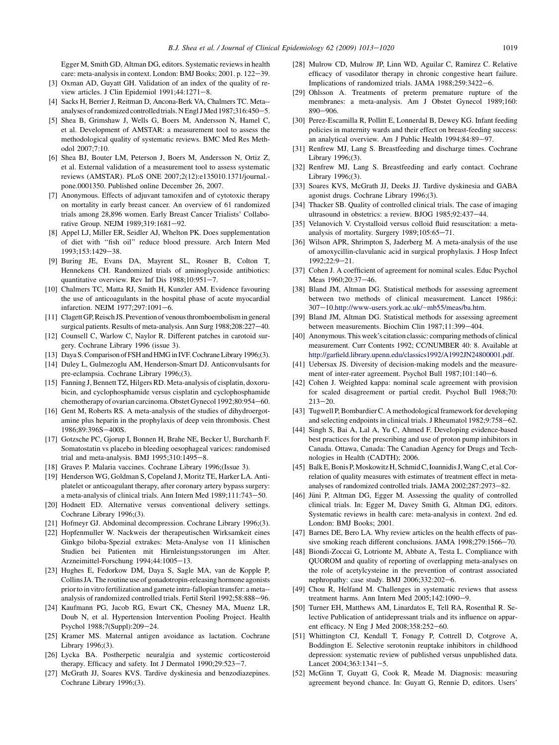<span id="page-6-0"></span>Egger M, Smith GD, Altman DG, editors. Systematic reviews in health care: meta-analysis in context. London: BMJ Books; 2001. p. 122-39.

- [3] Oxman AD, Guyatt GH. Validation of an index of the quality of review articles. J Clin Epidemiol  $1991;44:1271-8$ .
- [4] Sacks H, Berrier J, Reitman D, Ancona-Berk VA, Chalmers TC. Meta- analyses of randomized controlled trials. N Engl J Med 1987;316:450-5.
- [5] Shea B, Grimshaw J, Wells G, Boers M, Andersson N, Hamel C, et al. Development of AMSTAR: a measurement tool to assess the methodological quality of systematic reviews. BMC Med Res Methodol 2007;7:10.
- [6] Shea BJ, Bouter LM, Peterson J, Boers M, Andersson N, Ortiz Z, et al. External validation of a measurement tool to assess systematic reviews (AMSTAR). PLoS ONE 2007;2(12):e135010.1371/journal. pone.0001350. Published online December 26, 2007.
- [7] Anonymous. Effects of adjuvant tamoxifen and of cytotoxic therapy on mortality in early breast cancer. An overview of 61 randomized trials among 28,896 women. Early Breast Cancer Trialists' Collaborative Group. NEJM 1989;319:1681-92.
- [8] Appel LJ, Miller ER, Seidler AJ, Whelton PK. Does supplementation of diet with ''fish oil'' reduce blood pressure. Arch Intern Med 1993:153:1429-38.
- [9] Buring JE, Evans DA, Mayrent SL, Rosner B, Colton T, Hennekens CH. Randomized trials of aminoglycoside antibiotics: quantitative overview. Rev Inf Dis  $1988;10:951-7$ .
- [10] Chalmers TC, Matta RJ, Smith H, Kunzler AM. Evidence favouring the use of anticoagulants in the hospital phase of acute myocardial infarction. NEJM 1977;297:1091-6.
- [11] Clagett GP, Reisch JS. Prevention of venous thromboembolism in general surgical patients. Results of meta-analysis. Ann Surg 1988;208:227-40.
- [12] Counsell C, Warlow C, Naylor R. Different patches in carotoid surgery. Cochrane Library 1996 (issue 3).
- [13] Daya S. Comparison of FSH and HMG in IVF. Cochrane Library 1996;(3).
- [14] Duley L, Gulmezoglu AM, Henderson-Smart DJ. Anticonvulsants for pre-eclampsia. Cochrane Library 1996;(3).
- [15] Fanning J, Bennett TZ, Hilgers RD. Meta-analysis of cisplatin, doxorubicin, and cyclophosphamide versus cisplatin and cyclophosphamide chemotherapy of ovarian carcinoma. Obstet Gynecol 1992;80:954-60.
- [16] Gent M, Roberts RS. A meta-analysis of the studies of dihydroergotamine plus heparin in the prophylaxis of deep vein thrombosis. Chest 1986;89:396S-400S.
- [17] Gotzsche PC, Gjorup I, Bonnen H, Brahe NE, Becker U, Burcharth F. Somatostatin vs placebo in bleeding oesophageal varices: randomised trial and meta-analysis. BMJ  $1995;310:1495-8$ .
- [18] Graves P. Malaria vaccines. Cochrane Library 1996;(Issue 3).
- [19] Henderson WG, Goldman S, Copeland J, Moritz TE, Harker LA. Antiplatelet or anticoagulant therapy, after coronary artery bypass surgery: a meta-analysis of clinical trials. Ann Intern Med 1989;111:743-50.
- [20] Hodnett ED. Alternative versus conventional delivery settings. Cochrane Library 1996;(3).
- [21] Hofmeyr GJ. Abdominal decompression. Cochrane Library 1996;(3).
- [22] Hopfenmuller W. Nackweis der therapeutischen Wirksamkeit eines Ginkgo biloba-Spezial extrakes: Meta-Analyse von 11 klinischen Studien bei Patienten mit Hirnleistungsstorungen im Alter. Arzneimittel-Forschung 1994;44:1005-13.
- [23] Hughes E, Fedorkow DM, Daya S, Sagle MA, van de Kopple P, Collins JA. The routine use of gonadotropin-releasing hormone agonists prior to invitro fertilization and gamete intra-fallopian transfer: a meta- analysis of randomized controlled trials. Fertil Steril 1992;58:888-96.
- [24] Kaufmann PG, Jacob RG, Ewart CK, Chesney MA, Muenz LR, Doub N, et al. Hypertension Intervention Pooling Project. Health Psychol 1988;7(Suppl):209-24.
- [25] Kramer MS. Maternal antigen avoidance as lactation. Cochrane Library 1996;(3).
- [26] Lycka BA. Postherpetic neuralgia and systemic corticosteroid therapy. Efficacy and safety. Int J Dermatol  $1990;29:523-7$ .
- [27] McGrath JJ, Soares KVS. Tardive dyskinesia and benzodiazepines. Cochrane Library 1996;(3).
- [28] Mulrow CD, Mulrow JP, Linn WD, Aguilar C, Ramirez C. Relative efficacy of vasodilator therapy in chronic congestive heart failure. Implications of randomized trials. JAMA 1988;259:3422-6.
- [29] Ohlsson A. Treatments of preterm premature rupture of the membranes: a meta-analysis. Am J Obstet Gynecol 1989;160:  $890 - 906$ .
- [30] Perez-Escamilla R, Pollitt E, Lonnerdal B, Dewey KG. Infant feeding policies in maternity wards and their effect on breast-feeding success: an analytical overview. Am J Public Health 1994;84:89-97.
- [31] Renfrew MJ, Lang S. Breastfeeding and discharge times. Cochrane Library 1996;(3).
- [32] Renfrew MJ, Lang S. Breastfeeding and early contact. Cochrane Library 1996;(3).
- [33] Soares KVS, McGrath JJ, Deeks JJ. Tardive dyskinesia and GABA agonist drugs. Cochrane Library 1996;(3).
- [34] Thacker SB. Quality of controlled clinical trials. The case of imaging ultrasound in obstetrics: a review. BJOG 1985;92:437-44.
- [35] Velanovich V. Crystalloid versus colloid fluid resuscitation: a metaanalysis of mortality. Surgery 1989;105:65-71.
- [36] Wilson APR, Shrimpton S, Jaderberg M. A meta-analysis of the use of amoxycillin-clavulanic acid in surgical prophylaxis. J Hosp Infect 1992;22:9-21.
- [37] Cohen J. A coefficient of agreement for nominal scales. Educ Psychol Meas 1960;20:37-46.
- [38] Bland JM, Altman DG. Statistical methods for assessing agreement between two methods of clinical measurement. Lancet 1986;i: 307-10.[http://www-users.york.ac.uk/](http://www-users.york.ac.uk/~mb55/meas/ba.htm)~mb55/meas/ba.htm.
- [39] Bland JM, Altman DG. Statistical methods for assessing agreement between measurements. Biochim Clin 1987;11:399-404.
- [40] Anonymous. This week's citation classic: comparing methods of clinical measurement. Curr Contents 1992; CC/NUMBER 40: 8. Available at [http://garfield.library.upenn.edu/classics1992/A1992JN24800001.pdf.](http://garfield.library.upenn.edu/classics1992/A1992JN24800001.pdf)
- [41] Uebersax JS. Diversity of decision-making models and the measurement of inter-rater agreement. Psychol Bull 1987;101:140-6.
- [42] Cohen J. Weighted kappa: nominal scale agreement with provision for scaled disagreement or partial credit. Psychol Bull 1968;70:  $213 - 20.$
- [43] Tugwell P, Bombardier C. A methodological framework for developing and selecting endpoints in clinical trials. J Rheumatol 1982;9:758-62.
- [44] Singh S, Bai A, Lal A, Yu C, Ahmed F. Developing evidence-based best practices for the prescribing and use of proton pump inhibitors in Canada. Ottawa, Canada: The Canadian Agency for Drugs and Technologies in Health (CADTH); 2006.
- [45] Balk E, Bonis P, Moskowitz H, Schmid C, Ioannidis J, Wang C, et al. Correlation of quality measures with estimates of treatment effect in metaanalyses of randomized controlled trials. JAMA 2002;287:2973-82.
- [46] Jüni P, Altman DG, Egger M. Assessing the quality of controlled clinical trials. In: Egger M, Davey Smith G, Altman DG, editors. Systematic reviews in health care: meta-analysis in context. 2nd ed. London: BMJ Books; 2001.
- [47] Barnes DE, Bero LA. Why review articles on the health effects of passive smoking reach different conclusions. JAMA 1998;279:1566-70.
- [48] Biondi-Zoccai G, Lotrionte M, Abbate A, Testa L. Compliance with QUOROM and quality of reporting of overlapping meta-analyses on the role of acetylcysteine in the prevention of contrast associated nephropathy: case study. BMJ 2006;332:202-6.
- [49] Chou R, Helfand M. Challenges in systematic reviews that assess treatment harms. Ann Intern Med 2005;142:1090-9.
- [50] Turner EH, Matthews AM, Linardatos E, Tell RA, Rosenthal R. Selective Publication of antidepressant trials and its influence on apparent efficacy. N Eng J Med 2008;358:252-60.
- [51] Whittington CJ, Kendall T, Fonagy P, Cottrell D, Cotgrove A, Boddington E. Selective serotonin reuptake inhibitors in childhood depression: systematic review of published versus unpublished data. Lancet  $2004;363:1341-5$ .
- [52] McGinn T, Guyatt G, Cook R, Meade M. Diagnosis: measuring agreement beyond chance. In: Guyatt G, Rennie D, editors. Users'